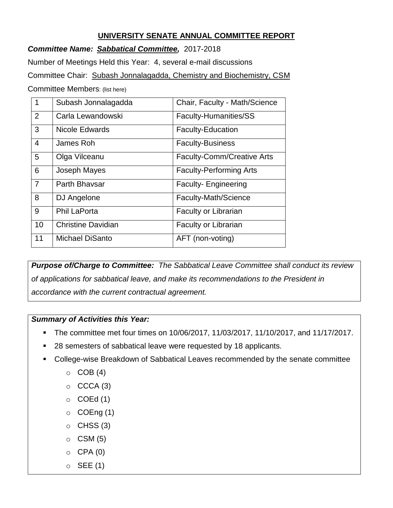# **UNIVERSITY SENATE ANNUAL COMMITTEE REPORT**

*Committee Name: Sabbatical Committee,* 2017-2018

Number of Meetings Held this Year: 4, several e-mail discussions

Committee Chair: Subash Jonnalagadda, Chemistry and Biochemistry, CSM

Committee Members: (list here)

| $\mathbf 1$    | Subash Jonnalagadda       | Chair, Faculty - Math/Science     |
|----------------|---------------------------|-----------------------------------|
| 2              | Carla Lewandowski         | Faculty-Humanities/SS             |
| 3              | Nicole Edwards            | <b>Faculty-Education</b>          |
| 4              | James Roh                 | <b>Faculty-Business</b>           |
| 5              | Olga Vilceanu             | <b>Faculty-Comm/Creative Arts</b> |
| 6              | Joseph Mayes              | <b>Faculty-Performing Arts</b>    |
| $\overline{7}$ | Parth Bhaysar             | <b>Faculty-Engineering</b>        |
| 8              | DJ Angelone               | Faculty-Math/Science              |
| 9              | <b>Phil LaPorta</b>       | <b>Faculty or Librarian</b>       |
| 10             | <b>Christine Davidian</b> | <b>Faculty or Librarian</b>       |
| 11             | <b>Michael DiSanto</b>    | AFT (non-voting)                  |

*Purpose of/Charge to Committee: The Sabbatical Leave Committee shall conduct its review of applications for sabbatical leave, and make its recommendations to the President in accordance with the current contractual agreement.*

### *Summary of Activities this Year:*

- The committee met four times on 10/06/2017, 11/03/2017, 11/10/2017, and 11/17/2017.
- 28 semesters of sabbatical leave were requested by 18 applicants.
- College-wise Breakdown of Sabbatical Leaves recommended by the senate committee
	- $\circ$  COB (4)
	- $\circ$  CCCA (3)
	- $\circ$  COEd (1)
	- $\circ$  COEng (1)
	- $\circ$  CHSS (3)
	- $\circ$  CSM (5)
	- $O$  CPA  $(0)$
	- $\circ$  SEE (1)